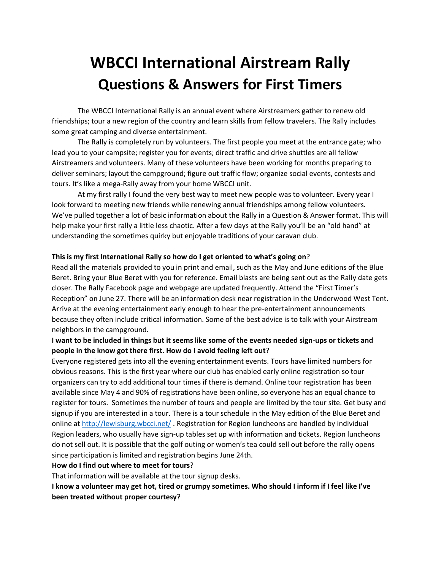# **WBCCI International Airstream Rally Questions & Answers for First Timers**

The WBCCI International Rally is an annual event where Airstreamers gather to renew old friendships; tour a new region of the country and learn skills from fellow travelers. The Rally includes some great camping and diverse entertainment.

The Rally is completely run by volunteers. The first people you meet at the entrance gate; who lead you to your campsite; register you for events; direct traffic and drive shuttles are all fellow Airstreamers and volunteers. Many of these volunteers have been working for months preparing to deliver seminars; layout the campground; figure out traffic flow; organize social events, contests and tours. It's like a mega-Rally away from your home WBCCI unit.

At my first rally I found the very best way to meet new people was to volunteer. Every year I look forward to meeting new friends while renewing annual friendships among fellow volunteers. We've pulled together a lot of basic information about the Rally in a Question & Answer format. This will help make your first rally a little less chaotic. After a few days at the Rally you'll be an "old hand" at understanding the sometimes quirky but enjoyable traditions of your caravan club.

## **This is my first International Rally so how do I get oriented to what's going on**?

Read all the materials provided to you in print and email, such as the May and June editions of the Blue Beret. Bring your Blue Beret with you for reference. Email blasts are being sent out as the Rally date gets closer. The Rally Facebook page and webpage are updated frequently. Attend the "First Timer's Reception" on June 27. There will be an information desk near registration in the Underwood West Tent. Arrive at the evening entertainment early enough to hear the pre-entertainment announcements because they often include critical information. Some of the best advice is to talk with your Airstream neighbors in the campground.

# **I want to be included in things but it seems like some of the events needed sign-ups or tickets and people in the know got there first. How do I avoid feeling left out**?

Everyone registered gets into all the evening entertainment events. Tours have limited numbers for obvious reasons. This is the first year where our club has enabled early online registration so tour organizers can try to add additional tour times if there is demand. Online tour registration has been available since May 4 and 90% of registrations have been online, so everyone has an equal chance to register for tours. Sometimes the number of tours and people are limited by the tour site. Get busy and signup if you are interested in a tour. There is a tour schedule in the May edition of the Blue Beret and online at<http://lewisburg.wbcci.net/> . Registration for Region luncheons are handled by individual Region leaders, who usually have sign-up tables set up with information and tickets. Region luncheons do not sell out. It is possible that the golf outing or women's tea could sell out before the rally opens since participation is limited and registration begins June 24th.

#### **How do I find out where to meet for tours**?

That information will be available at the tour signup desks.

**I know a volunteer may get hot, tired or grumpy sometimes. Who should I inform if I feel like I've been treated without proper courtesy**?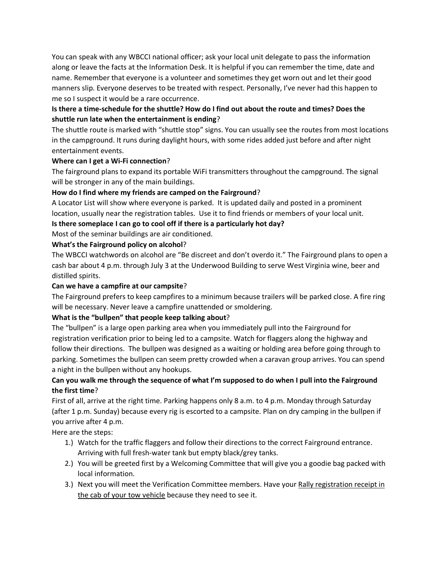You can speak with any WBCCI national officer; ask your local unit delegate to pass the information along or leave the facts at the Information Desk. It is helpful if you can remember the time, date and name. Remember that everyone is a volunteer and sometimes they get worn out and let their good manners slip. Everyone deserves to be treated with respect. Personally, I've never had this happen to me so I suspect it would be a rare occurrence.

# **Is there a time-schedule for the shuttle? How do I find out about the route and times? Does the shuttle run late when the entertainment is ending**?

The shuttle route is marked with "shuttle stop" signs. You can usually see the routes from most locations in the campground. It runs during daylight hours, with some rides added just before and after night entertainment events.

## **Where can I get a Wi-Fi connection**?

The fairground plans to expand its portable WiFi transmitters throughout the campground. The signal will be stronger in any of the main buildings.

# **How do I find where my friends are camped on the Fairground**?

A Locator List will show where everyone is parked. It is updated daily and posted in a prominent location, usually near the registration tables. Use it to find friends or members of your local unit.

**Is there someplace I can go to cool off if there is a particularly hot day?**

Most of the seminar buildings are air conditioned.

# **What's the Fairground policy on alcohol**?

The WBCCI watchwords on alcohol are "Be discreet and don't overdo it." The Fairground plans to open a cash bar about 4 p.m. through July 3 at the Underwood Building to serve West Virginia wine, beer and distilled spirits.

## **Can we have a campfire at our campsite**?

The Fairground prefers to keep campfires to a minimum because trailers will be parked close. A fire ring will be necessary. Never leave a campfire unattended or smoldering.

# **What is the "bullpen" that people keep talking about**?

The "bullpen" is a large open parking area when you immediately pull into the Fairground for registration verification prior to being led to a campsite. Watch for flaggers along the highway and follow their directions. The bullpen was designed as a waiting or holding area before going through to parking. Sometimes the bullpen can seem pretty crowded when a caravan group arrives. You can spend a night in the bullpen without any hookups.

# **Can you walk me through the sequence of what I'm supposed to do when I pull into the Fairground the first time**?

First of all, arrive at the right time. Parking happens only 8 a.m. to 4 p.m. Monday through Saturday (after 1 p.m. Sunday) because every rig is escorted to a campsite. Plan on dry camping in the bullpen if you arrive after 4 p.m.

Here are the steps:

- 1.) Watch for the traffic flaggers and follow their directions to the correct Fairground entrance. Arriving with full fresh-water tank but empty black/grey tanks.
- 2.) You will be greeted first by a Welcoming Committee that will give you a goodie bag packed with local information.
- 3.) Next you will meet the Verification Committee members. Have your Rally registration receipt in the cab of your tow vehicle because they need to see it.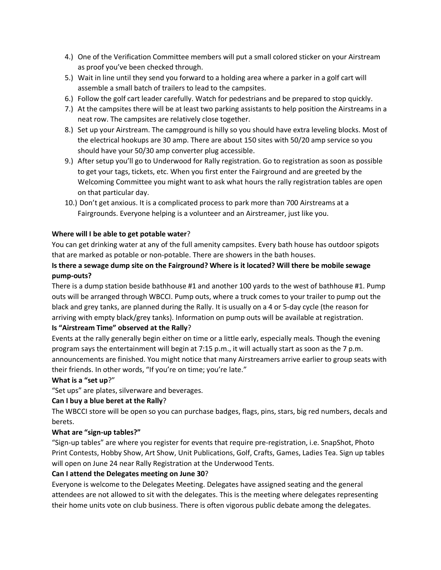- 4.) One of the Verification Committee members will put a small colored sticker on your Airstream as proof you've been checked through.
- 5.) Wait in line until they send you forward to a holding area where a parker in a golf cart will assemble a small batch of trailers to lead to the campsites.
- 6.) Follow the golf cart leader carefully. Watch for pedestrians and be prepared to stop quickly.
- 7.) At the campsites there will be at least two parking assistants to help position the Airstreams in a neat row. The campsites are relatively close together.
- 8.) Set up your Airstream. The campground is hilly so you should have extra leveling blocks. Most of the electrical hookups are 30 amp. There are about 150 sites with 50/20 amp service so you should have your 50/30 amp converter plug accessible.
- 9.) After setup you'll go to Underwood for Rally registration. Go to registration as soon as possible to get your tags, tickets, etc. When you first enter the Fairground and are greeted by the Welcoming Committee you might want to ask what hours the rally registration tables are open on that particular day.
- 10.) Don't get anxious. It is a complicated process to park more than 700 Airstreams at a Fairgrounds. Everyone helping is a volunteer and an Airstreamer, just like you.

# **Where will I be able to get potable water**?

You can get drinking water at any of the full amenity campsites. Every bath house has outdoor spigots that are marked as potable or non-potable. There are showers in the bath houses.

# **Is there a sewage dump site on the Fairground? Where is it located? Will there be mobile sewage pump-outs?**

There is a dump station beside bathhouse #1 and another 100 yards to the west of bathhouse #1. Pump outs will be arranged through WBCCI. Pump outs, where a truck comes to your trailer to pump out the black and grey tanks, are planned during the Rally. It is usually on a 4 or 5-day cycle (the reason for arriving with empty black/grey tanks). Information on pump outs will be available at registration.

## **Is "Airstream Time" observed at the Rally**?

Events at the rally generally begin either on time or a little early, especially meals. Though the evening program says the entertainment will begin at 7:15 p.m., it will actually start as soon as the 7 p.m. announcements are finished. You might notice that many Airstreamers arrive earlier to group seats with their friends. In other words, "If you're on time; you're late."

## **What is a "set up**?"

"Set ups" are plates, silverware and beverages.

## **Can I buy a blue beret at the Rally**?

The WBCCI store will be open so you can purchase badges, flags, pins, stars, big red numbers, decals and berets.

## **What are "sign-up tables?"**

"Sign-up tables" are where you register for events that require pre-registration, i.e. SnapShot, Photo Print Contests, Hobby Show, Art Show, Unit Publications, Golf, Crafts, Games, Ladies Tea. Sign up tables will open on June 24 near Rally Registration at the Underwood Tents.

## **Can I attend the Delegates meeting on June 30**?

Everyone is welcome to the Delegates Meeting. Delegates have assigned seating and the general attendees are not allowed to sit with the delegates. This is the meeting where delegates representing their home units vote on club business. There is often vigorous public debate among the delegates.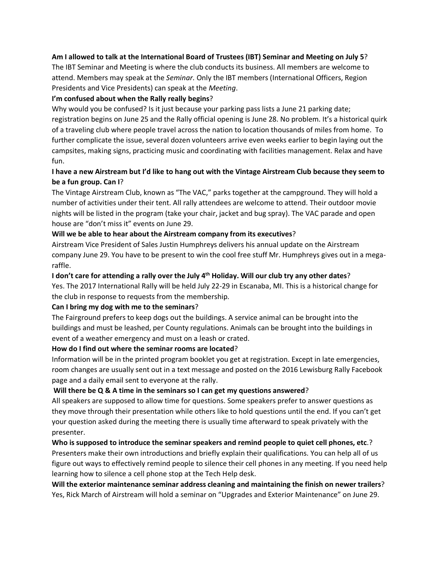## **Am I allowed to talk at the International Board of Trustees (IBT) Seminar and Meeting on July 5**?

The IBT Seminar and Meeting is where the club conducts its business. All members are welcome to attend. Members may speak at the *Seminar.* Only the IBT members (International Officers, Region Presidents and Vice Presidents) can speak at the *Meeting*.

## **I'm confused about when the Rally really begins**?

Why would you be confused? Is it just because your parking pass lists a June 21 parking date; registration begins on June 25 and the Rally official opening is June 28. No problem. It's a historical quirk of a traveling club where people travel across the nation to location thousands of miles from home. To further complicate the issue, several dozen volunteers arrive even weeks earlier to begin laying out the campsites, making signs, practicing music and coordinating with facilities management. Relax and have fun.

# **I have a new Airstream but I'd like to hang out with the Vintage Airstream Club because they seem to be a fun group. Can I**?

The Vintage Airstream Club, known as "The VAC," parks together at the campground. They will hold a number of activities under their tent. All rally attendees are welcome to attend. Their outdoor movie nights will be listed in the program (take your chair, jacket and bug spray). The VAC parade and open house are "don't miss it" events on June 29.

## **Will we be able to hear about the Airstream company from its executives**?

Airstream Vice President of Sales Justin Humphreys delivers his annual update on the Airstream company June 29. You have to be present to win the cool free stuff Mr. Humphreys gives out in a megaraffle.

## **I don't care for attending a rally over the July 4th Holiday. Will our club try any other dates**?

Yes. The 2017 International Rally will be held July 22-29 in Escanaba, MI. This is a historical change for the club in response to requests from the membership.

#### **Can I bring my dog with me to the seminars**?

The Fairground prefers to keep dogs out the buildings. A service animal can be brought into the buildings and must be leashed, per County regulations. Animals can be brought into the buildings in event of a weather emergency and must on a leash or crated.

## **How do I find out where the seminar rooms are located**?

Information will be in the printed program booklet you get at registration. Except in late emergencies, room changes are usually sent out in a text message and posted on the 2016 Lewisburg Rally Facebook page and a daily email sent to everyone at the rally.

## **Will there be Q & A time in the seminars so I can get my questions answered**?

All speakers are supposed to allow time for questions. Some speakers prefer to answer questions as they move through their presentation while others like to hold questions until the end. If you can't get your question asked during the meeting there is usually time afterward to speak privately with the presenter.

**Who is supposed to introduce the seminar speakers and remind people to quiet cell phones, etc**.? Presenters make their own introductions and briefly explain their qualifications. You can help all of us figure out ways to effectively remind people to silence their cell phones in any meeting. If you need help learning how to silence a cell phone stop at the Tech Help desk.

**Will the exterior maintenance seminar address cleaning and maintaining the finish on newer trailers**? Yes, Rick March of Airstream will hold a seminar on "Upgrades and Exterior Maintenance" on June 29.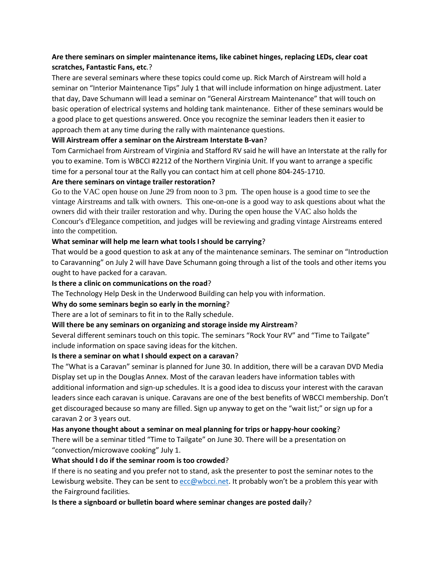# **Are there seminars on simpler maintenance items, like cabinet hinges, replacing LEDs, clear coat scratches, Fantastic Fans, etc**.?

There are several seminars where these topics could come up. Rick March of Airstream will hold a seminar on "Interior Maintenance Tips" July 1 that will include information on hinge adjustment. Later that day, Dave Schumann will lead a seminar on "General Airstream Maintenance" that will touch on basic operation of electrical systems and holding tank maintenance. Either of these seminars would be a good place to get questions answered. Once you recognize the seminar leaders then it easier to approach them at any time during the rally with maintenance questions.

## **Will Airstream offer a seminar on the Airstream Interstate B-van**?

Tom Carmichael from Airstream of Virginia and Stafford RV said he will have an Interstate at the rally for you to examine. Tom is WBCCI #2212 of the Northern Virginia Unit. If you want to arrange a specific time for a personal tour at the Rally you can contact him at cell phone 804-245-1710.

#### **Are there seminars on vintage trailer restoration?**

Go to the VAC open house on June 29 from noon to 3 pm. The open house is a good time to see the vintage Airstreams and talk with owners. This one-on-one is a good way to ask questions about what the owners did with their trailer restoration and why. During the open house the VAC also holds the Concour's d'Elegance competition, and judges will be reviewing and grading vintage Airstreams entered into the competition.

## **What seminar will help me learn what tools I should be carrying**?

That would be a good question to ask at any of the maintenance seminars. The seminar on "Introduction to Caravanning" on July 2 will have Dave Schumann going through a list of the tools and other items you ought to have packed for a caravan.

## **Is there a clinic on communications on the road**?

The Technology Help Desk in the Underwood Building can help you with information.

#### **Why do some seminars begin so early in the morning**?

There are a lot of seminars to fit in to the Rally schedule.

#### **Will there be any seminars on organizing and storage inside my Airstream**?

Several different seminars touch on this topic. The seminars "Rock Your RV" and "Time to Tailgate" include information on space saving ideas for the kitchen.

#### **Is there a seminar on what I should expect on a caravan**?

The "What is a Caravan" seminar is planned for June 30. In addition, there will be a caravan DVD Media Display set up in the Douglas Annex. Most of the caravan leaders have information tables with additional information and sign-up schedules. It is a good idea to discuss your interest with the caravan leaders since each caravan is unique. Caravans are one of the best benefits of WBCCI membership. Don't get discouraged because so many are filled. Sign up anyway to get on the "wait list;" or sign up for a caravan 2 or 3 years out.

#### **Has anyone thought about a seminar on meal planning for trips or happy-hour cooking**?

There will be a seminar titled "Time to Tailgate" on June 30. There will be a presentation on "convection/microwave cooking" July 1.

#### **What should I do if the seminar room is too crowded**?

If there is no seating and you prefer not to stand, ask the presenter to post the seminar notes to the Lewisburg website. They can be sent to [ecc@wbcci.net.](mailto:ecc@wbcci.net) It probably won't be a problem this year with the Fairground facilities.

**Is there a signboard or bulletin board where seminar changes are posted dail**y?